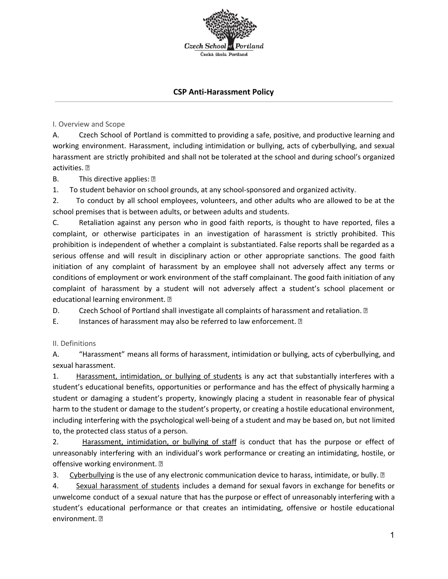**Czech School** Česká škola Portland

### **CSP Anti-Harassment Policy**

I. Overview and Scope

A. Czech School of Portland is committed to providing a safe, positive, and productive learning and working environment. Harassment, including intimidation or bullying, acts of cyberbullying, and sexual harassment are strictly prohibited and shall not be tolerated at the school and during school's organized activities. ?

B. This directive applies: 2

1. To student behavior on school grounds, at any school-sponsored and organized activity.

2. To conduct by all school employees, volunteers, and other adults who are allowed to be at the school premises that is between adults, or between adults and students.

C. Retaliation against any person who in good faith reports, is thought to have reported, files a complaint, or otherwise participates in an investigation of harassment is strictly prohibited. This prohibition is independent of whether a complaint is substantiated. False reports shall be regarded as a serious offense and will result in disciplinary action or other appropriate sanctions. The good faith initiation of any complaint of harassment by an employee shall not adversely affect any terms or conditions of employment or work environment of the staff complainant. The good faith initiation of any complaint of harassment by a student will not adversely affect a student's school placement or educational learning environment.

D. Czech School of Portland shall investigate all complaints of harassment and retaliation. 2

E. Instances of harassment may also be referred to law enforcement. 2

II. Definitions

A. "Harassment" means all forms of harassment, intimidation or bullying, acts of cyberbullying, and sexual harassment.

1. Harassment, intimidation, or bullying of students is any act that substantially interferes with a student's educational benefits, opportunities or performance and has the effect of physically harming a student or damaging a student's property, knowingly placing a student in reasonable fear of physical harm to the student or damage to the student's property, or creating a hostile educational environment, including interfering with the psychological well-being of a student and may be based on, but not limited to, the protected class status of a person.

2. Harassment, intimidation, or bullying of staff is conduct that has the purpose or effect of unreasonably interfering with an individual's work performance or creating an intimidating, hostile, or offensive working environment. 2

3. Cyberbullying is the use of any electronic communication device to harass, intimidate, or bully. 2

4. Sexual harassment of students includes a demand for sexual favors in exchange for benefits or unwelcome conduct of a sexual nature that has the purpose or effect of unreasonably interfering with a student's educational performance or that creates an intimidating, offensive or hostile educational environment. ?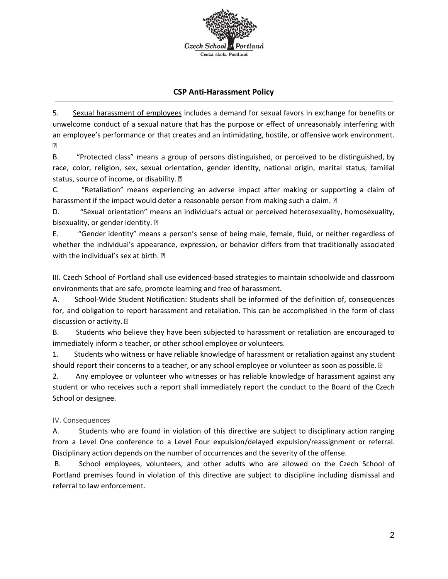

# **CSP Anti-Harassment Policy**

5. Sexual harassment of employees includes a demand for sexual favors in exchange for benefits or unwelcome conduct of a sexual nature that has the purpose or effect of unreasonably interfering with an employee's performance or that creates and an intimidating, hostile, or offensive work environment.  $\overline{2}$ 

B. "Protected class" means a group of persons distinguished, or perceived to be distinguished, by race, color, religion, sex, sexual orientation, gender identity, national origin, marital status, familial status, source of income, or disability.

C. "Retaliation" means experiencing an adverse impact after making or supporting a claim of harassment if the impact would deter a reasonable person from making such a claim.  $\mathbb D$ 

D. "Sexual orientation" means an individual's actual or perceived heterosexuality, homosexuality, bisexuality, or gender identity. 2

E. "Gender identity" means a person's sense of being male, female, fluid, or neither regardless of whether the individual's appearance, expression, or behavior differs from that traditionally associated with the individual's sex at birth. 2

III. Czech School of Portland shall use evidenced-based strategies to maintain schoolwide and classroom environments that are safe, promote learning and free of harassment.

A. School-Wide Student Notification: Students shall be informed of the definition of, consequences for, and obligation to report harassment and retaliation. This can be accomplished in the form of class discussion or activity. ?

B. Students who believe they have been subjected to harassment or retaliation are encouraged to immediately inform a teacher, or other school employee or volunteers.

1. Students who witness or have reliable knowledge of harassment or retaliation against any student should report their concerns to a teacher, or any school employee or volunteer as soon as possible.  $\mathbb D$ 

2. Any employee or volunteer who witnesses or has reliable knowledge of harassment against any student or who receives such a report shall immediately report the conduct to the Board of the Czech School or designee.

## IV. Consequences

A. Students who are found in violation of this directive are subject to disciplinary action ranging from a Level One conference to a Level Four expulsion/delayed expulsion/reassignment or referral. Disciplinary action depends on the number of occurrences and the severity of the offense.

B. School employees, volunteers, and other adults who are allowed on the Czech School of Portland premises found in violation of this directive are subject to discipline including dismissal and referral to law enforcement.